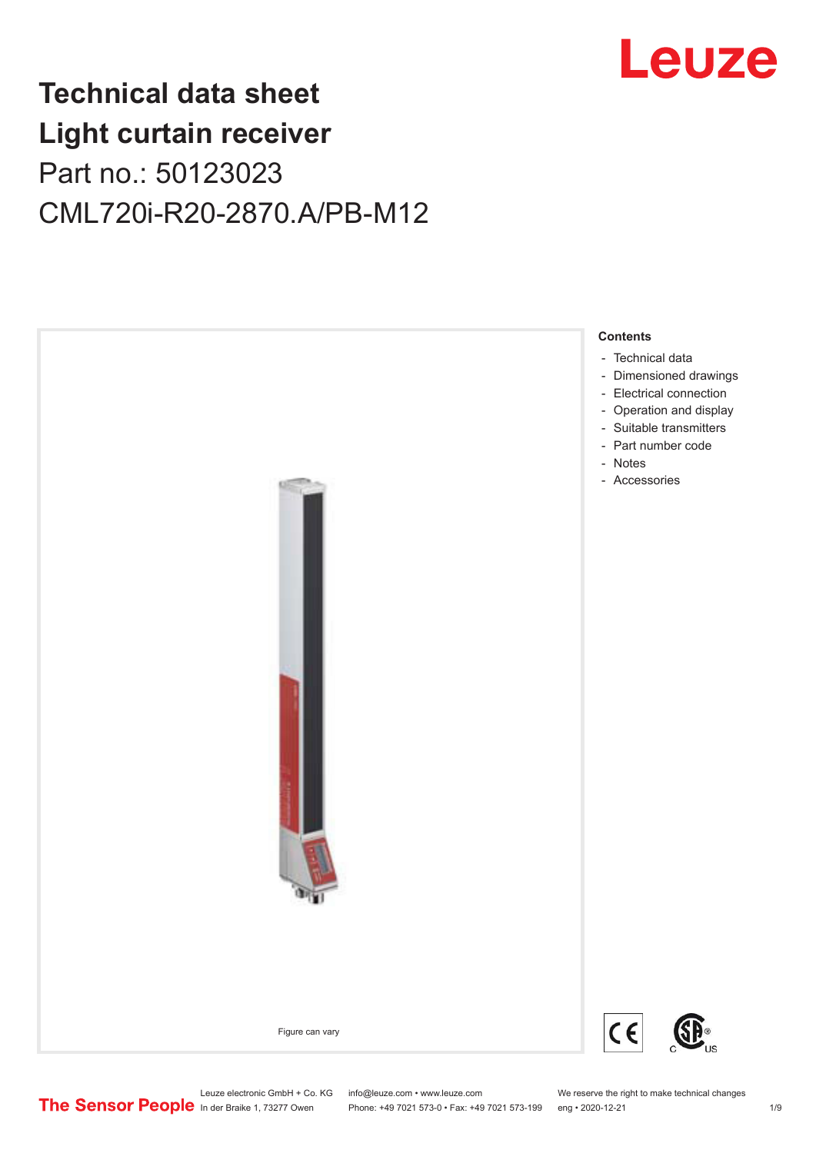

# **Technical data sheet Light curtain receiver** Part no.: 50123023 CML720i-R20-2870.A/PB-M12



Leuze electronic GmbH + Co. KG info@leuze.com • www.leuze.com We reserve the right to make technical changes<br>
The Sensor People in der Braike 1, 73277 Owen Phone: +49 7021 573-0 • Fax: +49 7021 573-199 eng • 2020-12-21

Phone: +49 7021 573-0 • Fax: +49 7021 573-199 eng • 2020-12-21 1 2020-12-21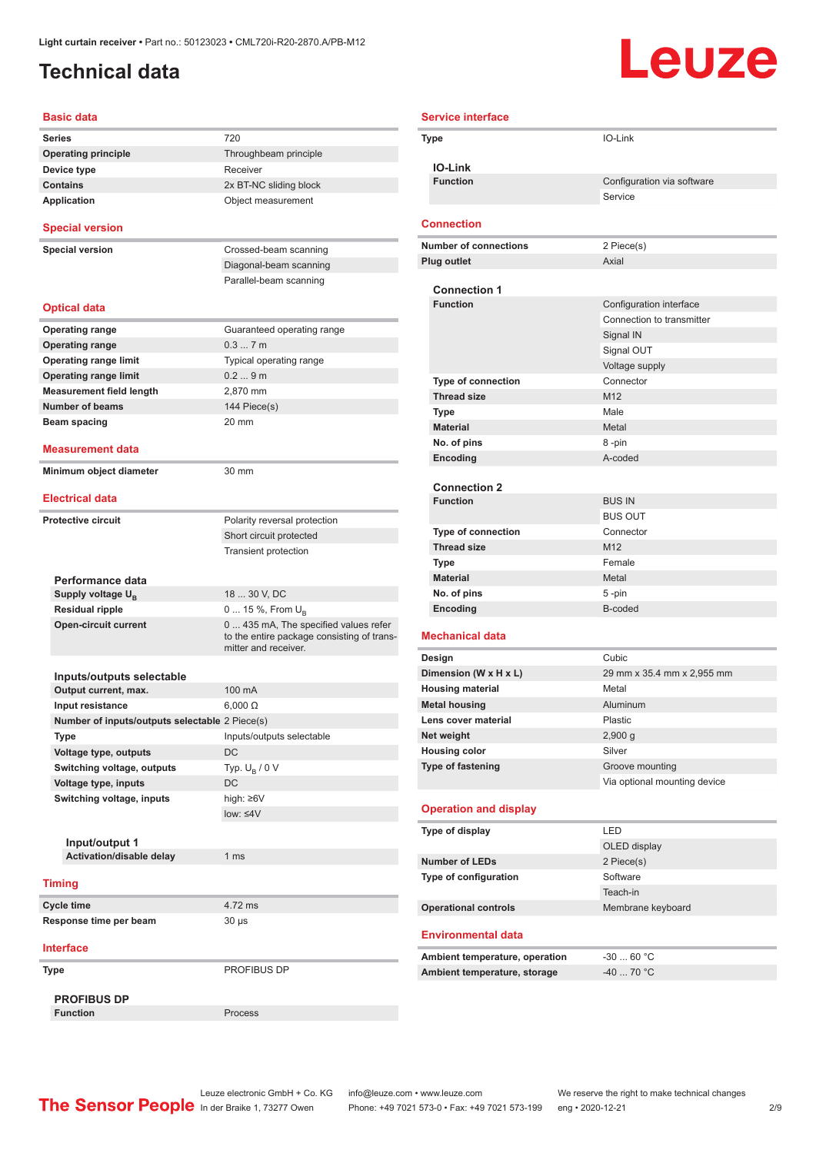## <span id="page-1-0"></span>**Technical data**

# Leuze

| <b>Basic data</b>                              |                                                                                                             |
|------------------------------------------------|-------------------------------------------------------------------------------------------------------------|
| Series                                         | 720                                                                                                         |
| <b>Operating principle</b>                     | Throughbeam principle                                                                                       |
| Device type                                    | Receiver                                                                                                    |
| <b>Contains</b>                                | 2x BT-NC sliding block                                                                                      |
| <b>Application</b>                             | Object measurement                                                                                          |
| <b>Special version</b>                         |                                                                                                             |
| <b>Special version</b>                         | Crossed-beam scanning                                                                                       |
|                                                | Diagonal-beam scanning                                                                                      |
|                                                | Parallel-beam scanning                                                                                      |
| <b>Optical data</b>                            |                                                                                                             |
| <b>Operating range</b>                         | Guaranteed operating range                                                                                  |
| <b>Operating range</b>                         | 0.37m                                                                                                       |
| <b>Operating range limit</b>                   | Typical operating range                                                                                     |
| <b>Operating range limit</b>                   | 0.29m                                                                                                       |
| <b>Measurement field length</b>                | 2.870 mm                                                                                                    |
| <b>Number of beams</b>                         | 144 Piece(s)                                                                                                |
| Beam spacing                                   | 20 mm                                                                                                       |
|                                                |                                                                                                             |
| <b>Measurement data</b>                        |                                                                                                             |
| Minimum object diameter                        | 30 mm                                                                                                       |
| <b>Electrical data</b>                         |                                                                                                             |
| <b>Protective circuit</b>                      | Polarity reversal protection                                                                                |
|                                                | Short circuit protected                                                                                     |
|                                                | <b>Transient protection</b>                                                                                 |
|                                                |                                                                                                             |
| Performance data                               |                                                                                                             |
| Supply voltage $U_{B}$                         | 18  30 V, DC                                                                                                |
| <b>Residual ripple</b>                         | 0  15 %, From $U_{\rm B}$                                                                                   |
| <b>Open-circuit current</b>                    | 0  435 mA, The specified values refer<br>to the entire package consisting of trans-<br>mitter and receiver. |
|                                                |                                                                                                             |
| Inputs/outputs selectable                      |                                                                                                             |
| Output current, max.                           | 100 mA                                                                                                      |
| Input resistance                               | $6.000 \Omega$                                                                                              |
| Number of inputs/outputs selectable 2 Piece(s) |                                                                                                             |
| Type                                           | Inputs/outputs selectable                                                                                   |
| Voltage type, outputs                          | DC                                                                                                          |
| Switching voltage, outputs                     | Typ. $U_R / 0 V$                                                                                            |
| Voltage type, inputs                           | DC                                                                                                          |
| Switching voltage, inputs                      | high: ≥6V                                                                                                   |
|                                                | low: $\leq 4V$                                                                                              |
|                                                |                                                                                                             |
| Input/output 1                                 |                                                                                                             |
| Activation/disable delay                       | 1 ms                                                                                                        |
| <b>Timing</b>                                  |                                                                                                             |
| Cycle time                                     | 4.72 ms                                                                                                     |
| Response time per beam                         | 30 µs                                                                                                       |
| <b>Interface</b>                               |                                                                                                             |
| Type                                           | PROFIBUS DP                                                                                                 |
|                                                |                                                                                                             |
| <b>PROFIBUS DP</b><br><b>Function</b>          | Process                                                                                                     |
|                                                |                                                                                                             |

| <b>Service interface</b> |                                             |                                                      |
|--------------------------|---------------------------------------------|------------------------------------------------------|
| <b>Type</b>              |                                             | IO-Link                                              |
|                          | <b>IO-Link</b>                              |                                                      |
|                          | <b>Function</b>                             | Configuration via software                           |
|                          |                                             | Service                                              |
|                          | <b>Connection</b>                           |                                                      |
|                          | <b>Number of connections</b>                | 2 Piece(s)                                           |
|                          | <b>Plug outlet</b>                          | Axial                                                |
|                          |                                             |                                                      |
|                          | <b>Connection 1</b><br><b>Function</b>      |                                                      |
|                          |                                             | Configuration interface<br>Connection to transmitter |
|                          |                                             | Signal IN                                            |
|                          |                                             | Signal OUT                                           |
|                          |                                             | Voltage supply                                       |
|                          | <b>Type of connection</b>                   | Connector                                            |
|                          | <b>Thread size</b>                          | M12                                                  |
|                          | Type                                        | Male                                                 |
|                          | <b>Material</b>                             | Metal                                                |
|                          | No. of pins                                 | 8-pin                                                |
|                          | Encoding                                    | A-coded                                              |
|                          |                                             |                                                      |
|                          | <b>Connection 2</b>                         |                                                      |
|                          | <b>Function</b>                             | <b>BUS IN</b>                                        |
|                          |                                             | <b>BUS OUT</b>                                       |
|                          | <b>Type of connection</b>                   | Connector                                            |
|                          | <b>Thread size</b>                          | M12                                                  |
|                          | <b>Type</b><br><b>Material</b>              | Female<br>Metal                                      |
|                          | No. of pins                                 | 5-pin                                                |
|                          | Encoding                                    | B-coded                                              |
|                          |                                             |                                                      |
| <b>Mechanical data</b>   |                                             |                                                      |
|                          | Design                                      | Cubic                                                |
|                          | Dimension (W x H x L)                       | 29 mm x 35.4 mm x 2,955 mm                           |
|                          | <b>Housing material</b>                     | Metal                                                |
|                          | <b>Metal housing</b><br>Lens cover material | Aluminum                                             |
|                          | Net weight                                  | Plastic                                              |
|                          | <b>Housing color</b>                        | 2,900 g<br>Silver                                    |
|                          | Type of fastening                           | Groove mounting                                      |
|                          |                                             | Via optional mounting device                         |
|                          |                                             |                                                      |
|                          | <b>Operation and display</b>                |                                                      |
|                          | Type of display                             | LED<br>OLED display                                  |
|                          | <b>Number of LEDs</b>                       | 2 Piece(s)                                           |
|                          | Type of configuration                       | Software                                             |
|                          |                                             | Teach-in                                             |
|                          | <b>Operational controls</b>                 | Membrane keyboard                                    |
|                          | <b>Environmental data</b>                   |                                                      |
|                          |                                             |                                                      |

| Ambient temperature, operation | $-3060 °C$ |
|--------------------------------|------------|
| Ambient temperature, storage   | -40  70 °C |

Leuze electronic GmbH + Co. KG info@leuze.com • www.leuze.com We reserve the right to make technical changes In der Braike 1, 73277 Owen Phone: +49 7021 573-0 • Fax: +49 7021 573-199 eng • 2020-12-21 299 Phone: +49 7021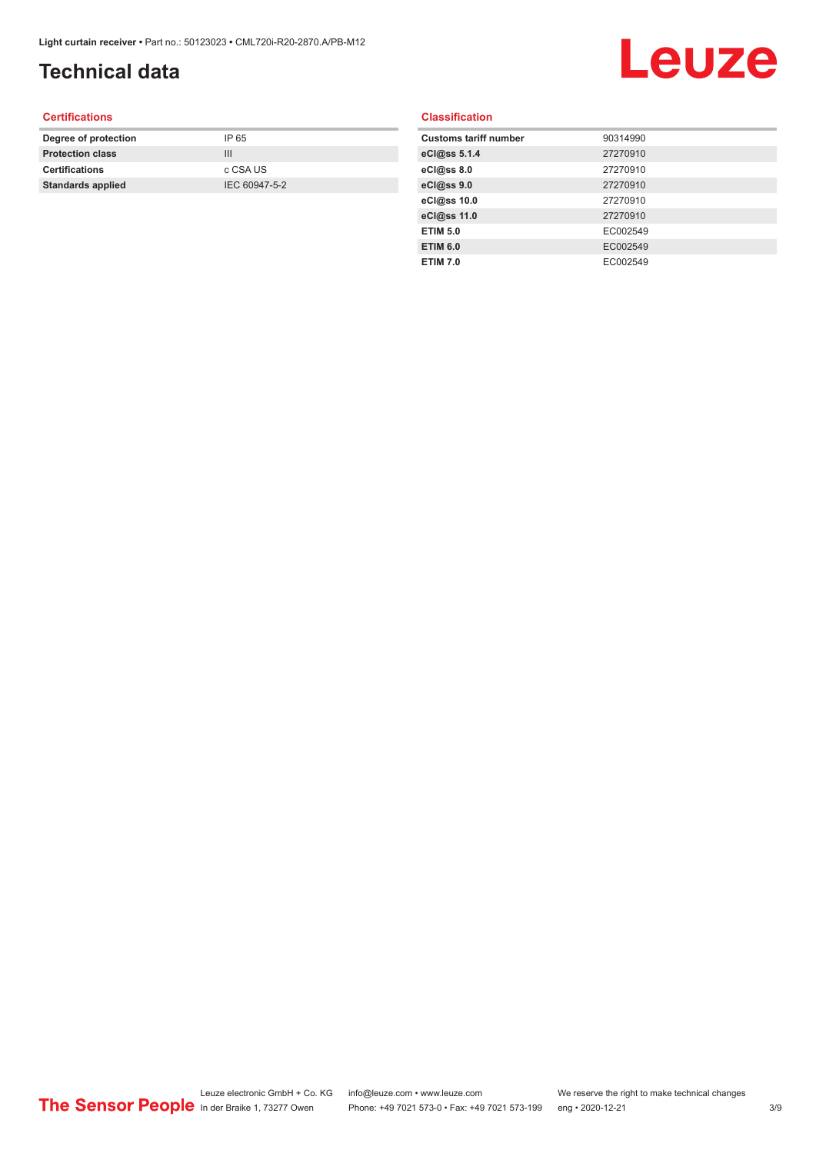# **Technical data**

# Leuze

### **Certifications**

| Degree of protection     | IP 65         |
|--------------------------|---------------|
| <b>Protection class</b>  | Ш             |
| <b>Certifications</b>    | c CSA US      |
| <b>Standards applied</b> | IEC 60947-5-2 |
|                          |               |

### **Classification**

| <b>Customs tariff number</b> | 90314990 |
|------------------------------|----------|
| eCl@ss 5.1.4                 | 27270910 |
| eCl@ss 8.0                   | 27270910 |
| eCl@ss 9.0                   | 27270910 |
| eCl@ss 10.0                  | 27270910 |
| eCl@ss 11.0                  | 27270910 |
| <b>ETIM 5.0</b>              | EC002549 |
| <b>ETIM 6.0</b>              | EC002549 |
| <b>ETIM 7.0</b>              | EC002549 |
|                              |          |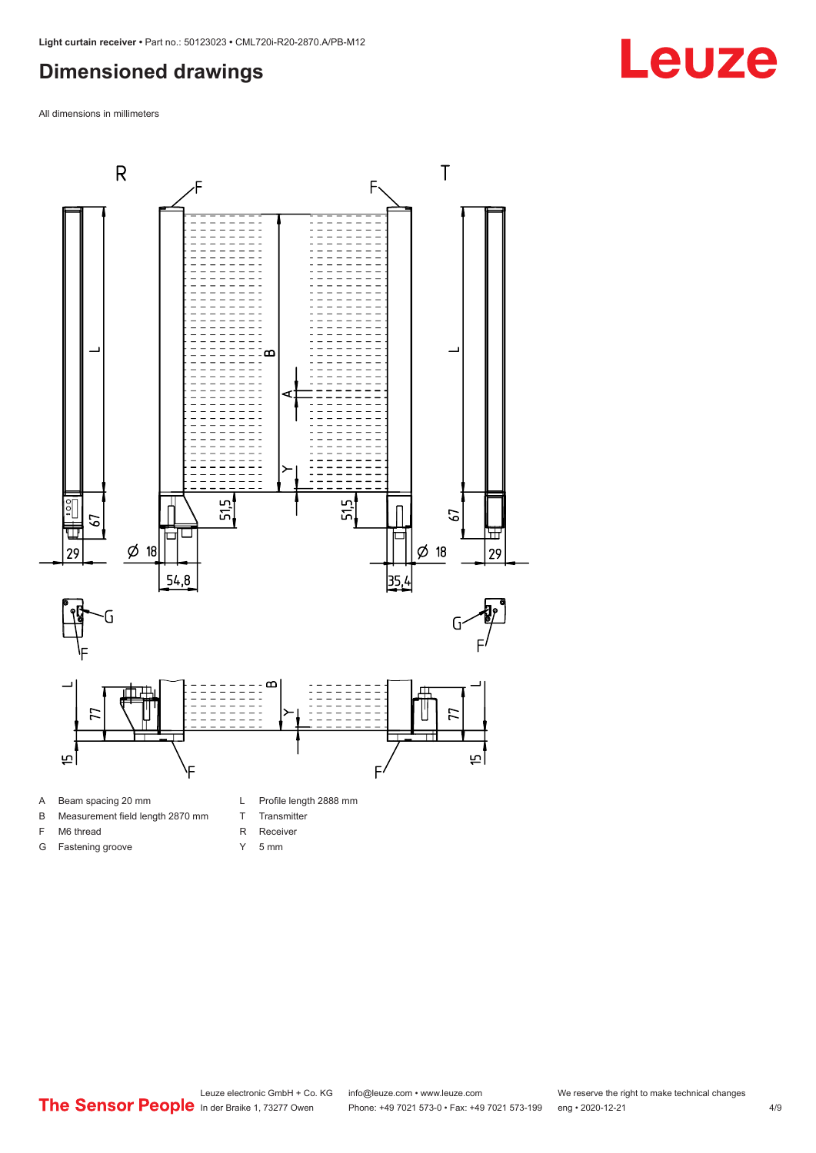### <span id="page-3-0"></span>**Dimensioned drawings**

All dimensions in millimeters



- 
- B Measurement field length 2870 mm
- F M6 thread

G Fastening groove

- 
- R Receiver Y 5 mm

T Transmitter

Leuze electronic GmbH + Co. KG info@leuze.com • www.leuze.com We reserve the right to make technical changes<br>
The Sensor People in der Braike 1, 73277 Owen Phone: +49 7021 573-0 • Fax: +49 7021 573-199 eng • 2020-12-21 Phone: +49 7021 573-0 • Fax: +49 7021 573-199 eng • 2020-12-21 4/9

# **Leuze**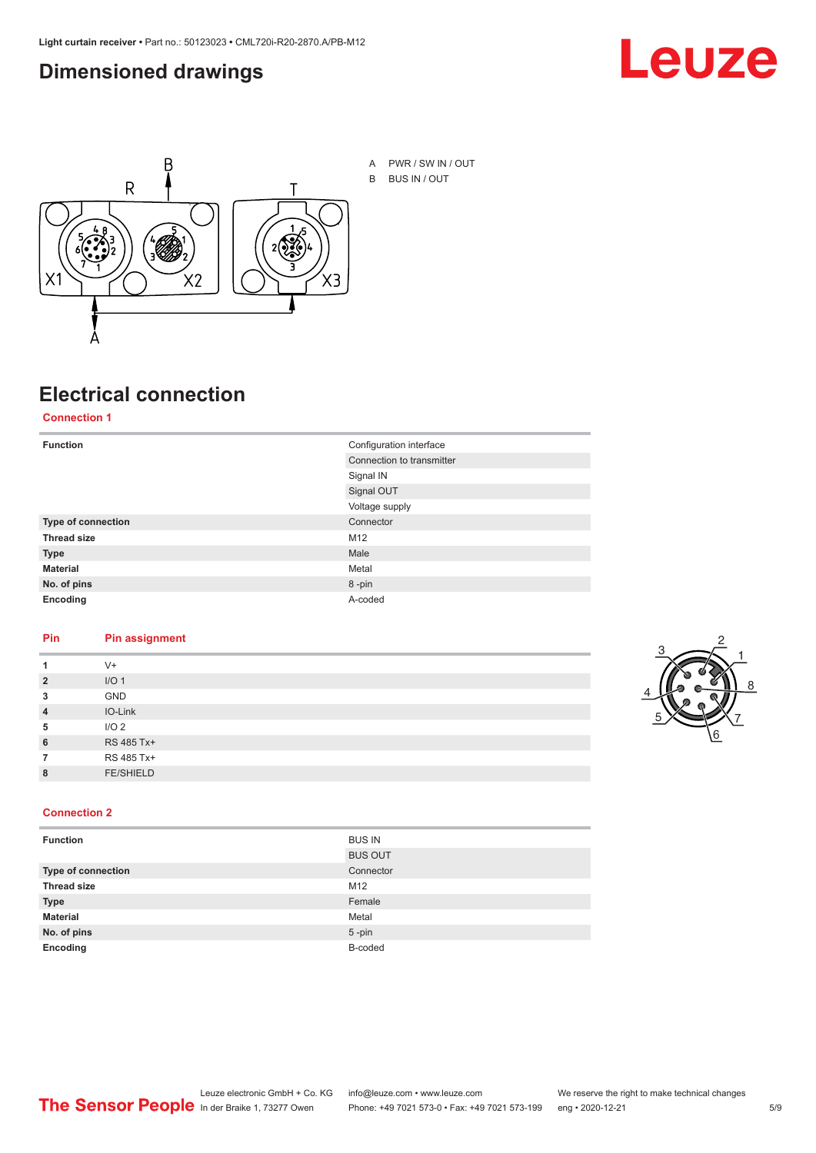### <span id="page-4-0"></span>**Dimensioned drawings**





## **Electrical connection**

**Connection 1**

| <b>Function</b>    | Configuration interface   |
|--------------------|---------------------------|
|                    | Connection to transmitter |
|                    | Signal IN                 |
|                    | Signal OUT                |
|                    | Voltage supply            |
| Type of connection | Connector                 |
| <b>Thread size</b> | M12                       |
| <b>Type</b>        | Male                      |
| <b>Material</b>    | Metal                     |
| No. of pins        | 8-pin                     |
| Encoding           | A-coded                   |

### **Pin Pin assignment**

|                | $V +$            |  |  |
|----------------|------------------|--|--|
| $\overline{2}$ | I/O <sub>1</sub> |  |  |
| 3              | <b>GND</b>       |  |  |
| $\overline{4}$ | IO-Link          |  |  |
| 5              | I/O <sub>2</sub> |  |  |
| 6              | RS 485 Tx+       |  |  |
|                | RS 485 Tx+       |  |  |
| 8              | <b>FE/SHIELD</b> |  |  |
|                |                  |  |  |



### **Connection 2**

| <b>Function</b>    | <b>BUS IN</b>  |
|--------------------|----------------|
|                    | <b>BUS OUT</b> |
| Type of connection | Connector      |
| <b>Thread size</b> | M12            |
| <b>Type</b>        | Female         |
| <b>Material</b>    | Metal          |
| No. of pins        | $5$ -pin       |
| Encoding           | B-coded        |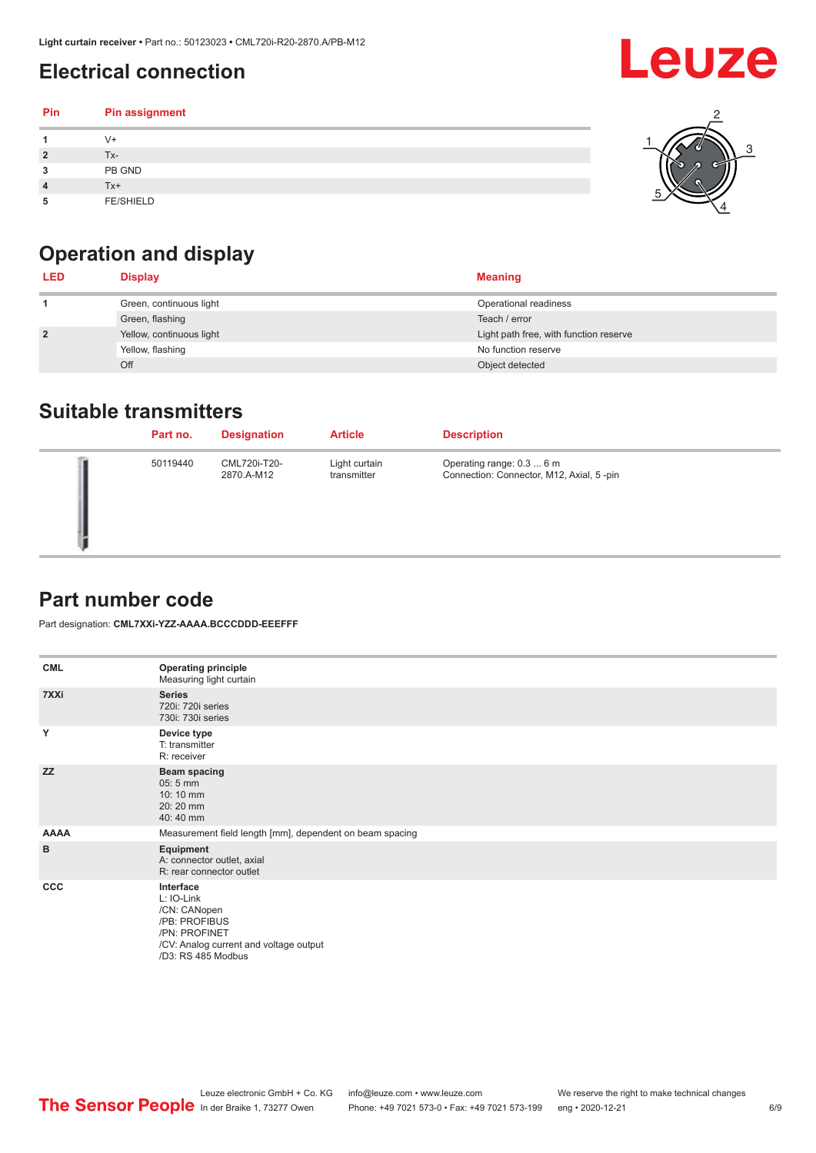## <span id="page-5-0"></span>**Electrical connection**

### **Pin Pin assignment 1** V+ **2** Tx-**3** PB GND **4** Tx+ **5** FE/SHIELD 3 2 1 5 4



| <b>LED</b>     | <b>Display</b>           | <b>Meaning</b>                         |
|----------------|--------------------------|----------------------------------------|
|                | Green, continuous light  | Operational readiness                  |
|                | Green, flashing          | Teach / error                          |
| $\overline{2}$ | Yellow, continuous light | Light path free, with function reserve |
|                | Yellow, flashing         | No function reserve                    |
|                | Off                      | Object detected                        |

### **Suitable transmitters**

| Part no. | <b>Designation</b>         | <b>Article</b>               | <b>Description</b>                                                    |
|----------|----------------------------|------------------------------|-----------------------------------------------------------------------|
| 50119440 | CML720i-T20-<br>2870.A-M12 | Light curtain<br>transmitter | Operating range: 0.3  6 m<br>Connection: Connector, M12, Axial, 5-pin |

### **Part number code**

Part designation: **CML7XXi-YZZ-AAAA.BCCCDDD-EEEFFF**

| <b>CML</b>   | <b>Operating principle</b><br>Measuring light curtain                                                                                     |
|--------------|-------------------------------------------------------------------------------------------------------------------------------------------|
| 7XXi         | <b>Series</b><br>720i: 720i series<br>730i: 730i series                                                                                   |
| Y            | Device type<br>T: transmitter<br>R: receiver                                                                                              |
| <b>ZZ</b>    | <b>Beam spacing</b><br>$05:5$ mm<br>$10:10 \, \text{mm}$<br>20:20 mm<br>40:40 mm                                                          |
| <b>AAAA</b>  | Measurement field length [mm], dependent on beam spacing                                                                                  |
| в            | Equipment<br>A: connector outlet, axial<br>R: rear connector outlet                                                                       |
| $_{\rm ccc}$ | Interface<br>L: IO-Link<br>/CN: CANopen<br>/PB: PROFIBUS<br>/PN: PROFINET<br>/CV: Analog current and voltage output<br>/D3: RS 485 Modbus |

Leuze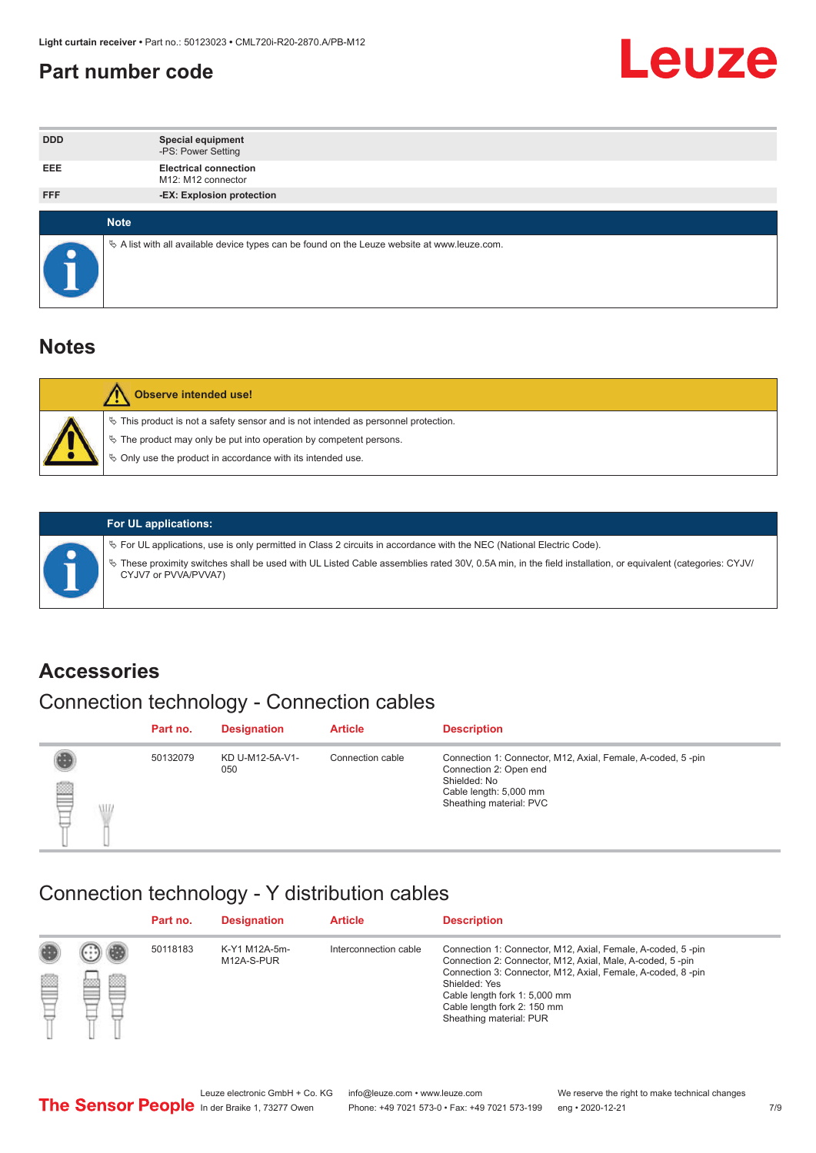### <span id="page-6-0"></span>**Part number code**



| <b>DDD</b> | <b>Special equipment</b><br>-PS: Power Setting                                                  |
|------------|-------------------------------------------------------------------------------------------------|
| <b>EEE</b> | <b>Electrical connection</b><br>M12: M12 connector                                              |
| <b>FFF</b> | -EX: Explosion protection                                                                       |
|            |                                                                                                 |
|            | <b>Note</b>                                                                                     |
|            | $\&$ A list with all available device types can be found on the Leuze website at www.leuze.com. |

### **Notes**

| Observe intended use!                                                                                                                                                                                                            |
|----------------------------------------------------------------------------------------------------------------------------------------------------------------------------------------------------------------------------------|
| $\%$ This product is not a safety sensor and is not intended as personnel protection.<br>$\%$ The product may only be put into operation by competent persons.<br>$\%$ Only use the product in accordance with its intended use. |
|                                                                                                                                                                                                                                  |



### **For UL applications:**

ª For UL applications, use is only permitted in Class 2 circuits in accordance with the NEC (National Electric Code). ª These proximity switches shall be used with UL Listed Cable assemblies rated 30V, 0.5A min, in the field installation, or equivalent (categories: CYJV/ CYJV7 or PVVA/PVVA7)

### **Accessories**

# Connection technology - Connection cables

|        | Part no. | <b>Designation</b>     | <b>Article</b>   | <b>Description</b>                                                                                                                                         |
|--------|----------|------------------------|------------------|------------------------------------------------------------------------------------------------------------------------------------------------------------|
| 2<br>W | 50132079 | KD U-M12-5A-V1-<br>050 | Connection cable | Connection 1: Connector, M12, Axial, Female, A-coded, 5-pin<br>Connection 2: Open end<br>Shielded: No<br>Cable length: 5,000 mm<br>Sheathing material: PVC |

### Connection technology - Y distribution cables

|             |   | Part no. | <b>Designation</b>          | <b>Article</b>        | <b>Description</b>                                                                                                                                                                                                                                                                                  |
|-------------|---|----------|-----------------------------|-----------------------|-----------------------------------------------------------------------------------------------------------------------------------------------------------------------------------------------------------------------------------------------------------------------------------------------------|
| 圔<br>⋿<br>٣ | ø | 50118183 | K-Y1 M12A-5m-<br>M12A-S-PUR | Interconnection cable | Connection 1: Connector, M12, Axial, Female, A-coded, 5-pin<br>Connection 2: Connector, M12, Axial, Male, A-coded, 5-pin<br>Connection 3: Connector, M12, Axial, Female, A-coded, 8-pin<br>Shielded: Yes<br>Cable length fork 1: 5,000 mm<br>Cable length fork 2: 150 mm<br>Sheathing material: PUR |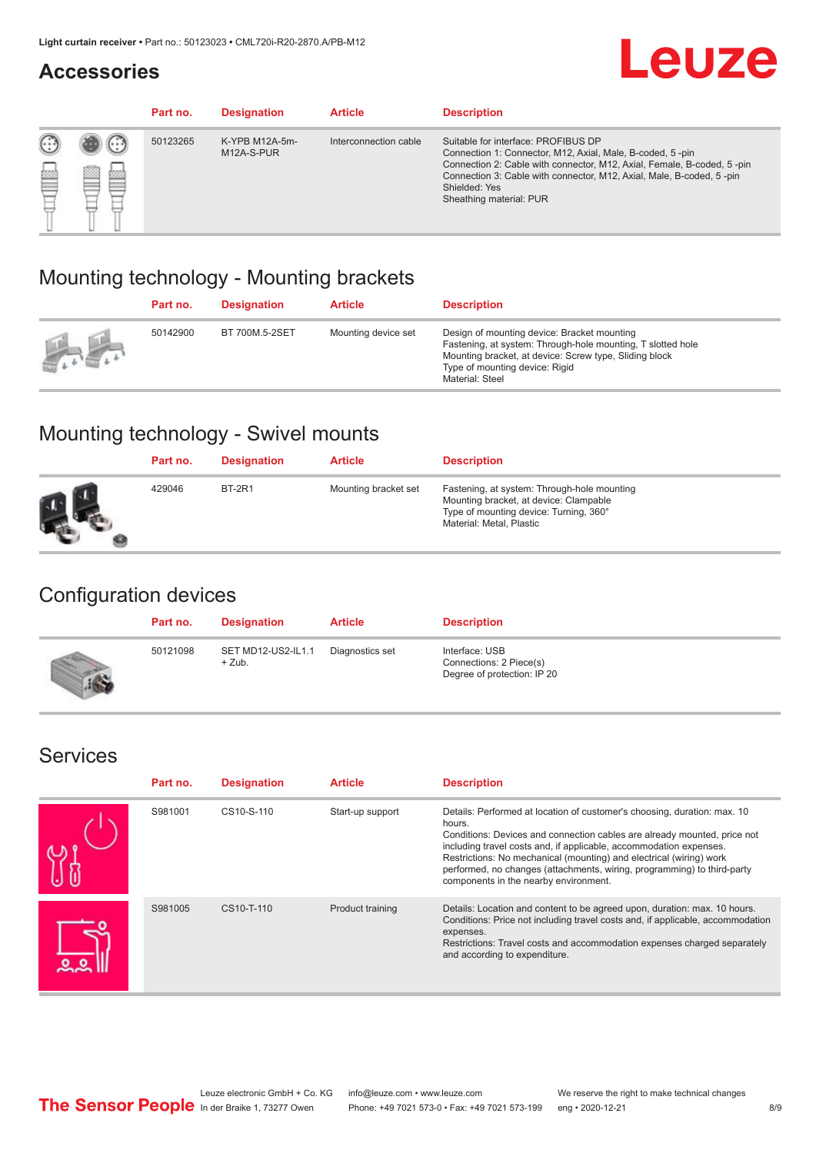### **Accessories**

# **Leuze**

|     |        | Part no. | <b>Designation</b>           | <b>Article</b>        | <b>Description</b>                                                                                                                                                                                                                                                                             |
|-----|--------|----------|------------------------------|-----------------------|------------------------------------------------------------------------------------------------------------------------------------------------------------------------------------------------------------------------------------------------------------------------------------------------|
| 622 | æ<br>鍃 | 50123265 | K-YPB M12A-5m-<br>M12A-S-PUR | Interconnection cable | Suitable for interface: PROFIBUS DP<br>Connection 1: Connector, M12, Axial, Male, B-coded, 5-pin<br>Connection 2: Cable with connector, M12, Axial, Female, B-coded, 5-pin<br>Connection 3: Cable with connector, M12, Axial, Male, B-coded, 5-pin<br>Shielded: Yes<br>Sheathing material: PUR |

### Mounting technology - Mounting brackets

|               | Part no. | <b>Designation</b> | <b>Article</b>      | <b>Description</b>                                                                                                                                                                                                        |
|---------------|----------|--------------------|---------------------|---------------------------------------------------------------------------------------------------------------------------------------------------------------------------------------------------------------------------|
| $\frac{1}{2}$ | 50142900 | BT 700M.5-2SET     | Mounting device set | Design of mounting device: Bracket mounting<br>Fastening, at system: Through-hole mounting, T slotted hole<br>Mounting bracket, at device: Screw type, Sliding block<br>Type of mounting device: Rigid<br>Material: Steel |

## Mounting technology - Swivel mounts

| Part no. | <b>Designation</b> | <b>Article</b>       | <b>Description</b>                                                                                                                                          |
|----------|--------------------|----------------------|-------------------------------------------------------------------------------------------------------------------------------------------------------------|
| 429046   | <b>BT-2R1</b>      | Mounting bracket set | Fastening, at system: Through-hole mounting<br>Mounting bracket, at device: Clampable<br>Type of mounting device: Turning, 360°<br>Material: Metal, Plastic |

### Configuration devices

| Part no. | <b>Designation</b>             | <b>Article</b>  | <b>Description</b>                                                       |
|----------|--------------------------------|-----------------|--------------------------------------------------------------------------|
| 50121098 | SET MD12-US2-IL1.1<br>$+$ Zub. | Diagnostics set | Interface: USB<br>Connections: 2 Piece(s)<br>Degree of protection: IP 20 |

### Services

| Part no. | <b>Designation</b> | <b>Article</b>   | <b>Description</b>                                                                                                                                                                                                                                                                                                                                                                                                              |
|----------|--------------------|------------------|---------------------------------------------------------------------------------------------------------------------------------------------------------------------------------------------------------------------------------------------------------------------------------------------------------------------------------------------------------------------------------------------------------------------------------|
| S981001  | CS10-S-110         | Start-up support | Details: Performed at location of customer's choosing, duration: max. 10<br>hours.<br>Conditions: Devices and connection cables are already mounted, price not<br>including travel costs and, if applicable, accommodation expenses.<br>Restrictions: No mechanical (mounting) and electrical (wiring) work<br>performed, no changes (attachments, wiring, programming) to third-party<br>components in the nearby environment. |
| S981005  | CS10-T-110         | Product training | Details: Location and content to be agreed upon, duration: max. 10 hours.<br>Conditions: Price not including travel costs and, if applicable, accommodation<br>expenses.<br>Restrictions: Travel costs and accommodation expenses charged separately<br>and according to expenditure.                                                                                                                                           |